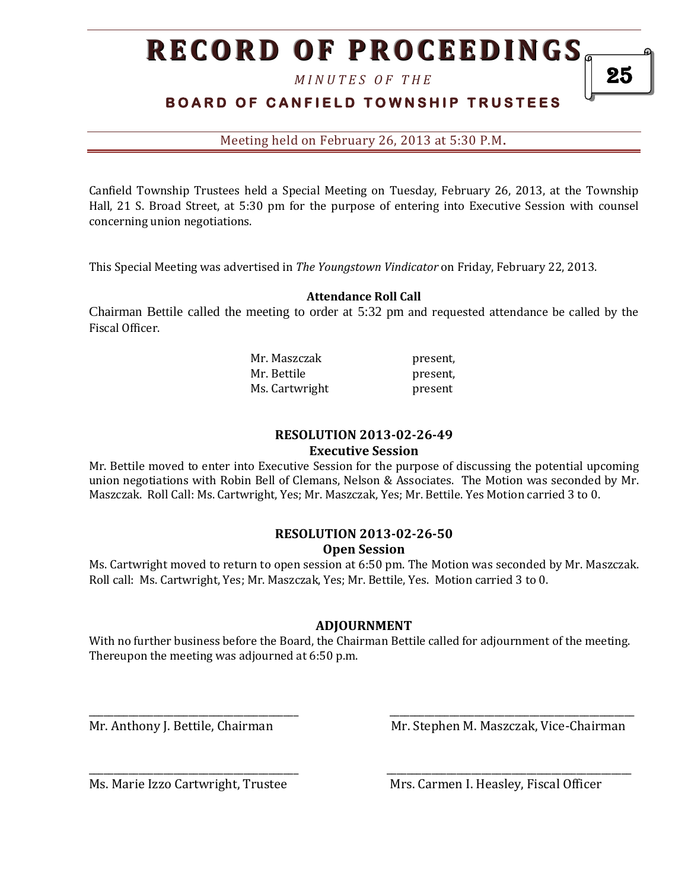# **RECORD OF PROCEEDINGS**

*M I N U T E S O F T H E* 

# **BOARD OF CANFIELD TOWNSHIP TRUSTEES**

Meeting held on February 26, 2013 at 5:30 P.M**.**

Canfield Township Trustees held a Special Meeting on Tuesday, February 26, 2013, at the Township Hall, 21 S. Broad Street, at 5:30 pm for the purpose of entering into Executive Session with counsel concerning union negotiations.

This Special Meeting was advertised in *The Youngstown Vindicator* on Friday, February 22, 2013.

#### **Attendance Roll Call**

Chairman Bettile called the meeting to order at 5:32 pm and requested attendance be called by the Fiscal Officer.

| Mr. Maszczak   | present, |
|----------------|----------|
| Mr. Bettile    | present, |
| Ms. Cartwright | present  |

## **RESOLUTION 2013-02-26-49**

#### **Executive Session**

Mr. Bettile moved to enter into Executive Session for the purpose of discussing the potential upcoming union negotiations with Robin Bell of Clemans, Nelson & Associates. The Motion was seconded by Mr. Maszczak. Roll Call: Ms. Cartwright, Yes; Mr. Maszczak, Yes; Mr. Bettile. Yes Motion carried 3 to 0.

## **RESOLUTION 2013-02-26-50 Open Session**

Ms. Cartwright moved to return to open session at 6:50 pm. The Motion was seconded by Mr. Maszczak. Roll call: Ms. Cartwright, Yes; Mr. Maszczak, Yes; Mr. Bettile, Yes. Motion carried 3 to 0.

## **ADJOURNMENT**

With no further business before the Board, the Chairman Bettile called for adjournment of the meeting. Thereupon the meeting was adjourned at 6:50 p.m.

\_\_\_\_\_\_\_\_\_\_\_\_\_\_\_\_\_\_\_\_\_\_\_\_\_\_\_\_\_\_\_\_\_\_\_\_\_\_\_\_\_\_ \_\_\_\_\_\_\_\_\_\_\_\_\_\_\_\_\_\_\_\_\_\_\_\_\_\_\_\_\_\_\_\_\_\_\_\_\_\_\_\_\_\_\_\_\_\_\_\_\_

\_\_\_\_\_\_\_\_\_\_\_\_\_\_\_\_\_\_\_\_\_\_\_\_\_\_\_\_\_\_\_\_\_\_\_\_\_\_\_\_\_\_ \_\_\_\_\_\_\_\_\_\_\_\_\_\_\_\_\_\_\_\_\_\_\_\_\_\_\_\_\_\_\_\_\_\_\_\_\_\_\_\_\_\_\_\_\_\_\_\_\_

Mr. Anthony J. Bettile, Chairman Mr. Stephen M. Maszczak, Vice-Chairman

Ms. Marie Izzo Cartwright, Trustee Mrs. Carmen I. Heasley, Fiscal Officer

25